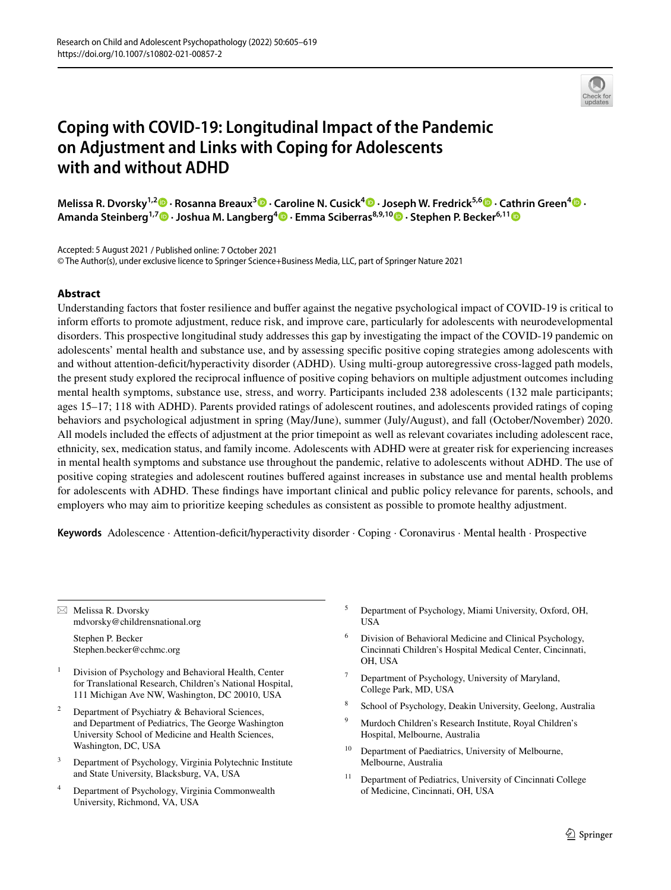

# **Coping with COVID‑19: Longitudinal Impact of the Pandemic on Adjustment and Links with Coping for Adolescents with and without ADHD**

**Melissa R. Dvorsky1,2  [·](http://orcid.org/0000-0002-3790-1334) Rosanna Breaux3  [·](http://orcid.org/0000-0001-5500-6950) Caroline N. Cusick4  [·](http://orcid.org/0000-0002-2743-9545) Joseph W. Fredrick5,6 · Cathrin Green4 · Amanda Steinberg1,7  [·](http://orcid.org/0000-0002-7086-9460) Joshua M. Langberg<sup>4</sup> · Emma Sciberras8,9,10  [·](http://orcid.org/0000-0003-2812-303X) Stephen P. Becker6,1[1](http://orcid.org/0000-0001-9046-5183)**

Accepted: 5 August 2021 / Published online: 7 October 2021 © The Author(s), under exclusive licence to Springer Science+Business Media, LLC, part of Springer Nature 2021

## **Abstract**

Understanding factors that foster resilience and bufer against the negative psychological impact of COVID-19 is critical to inform efforts to promote adjustment, reduce risk, and improve care, particularly for adolescents with neurodevelopmental disorders. This prospective longitudinal study addresses this gap by investigating the impact of the COVID-19 pandemic on adolescents' mental health and substance use, and by assessing specifc positive coping strategies among adolescents with and without attention-defcit/hyperactivity disorder (ADHD). Using multi-group autoregressive cross-lagged path models, the present study explored the reciprocal infuence of positive coping behaviors on multiple adjustment outcomes including mental health symptoms, substance use, stress, and worry. Participants included 238 adolescents (132 male participants; ages 15–17; 118 with ADHD). Parents provided ratings of adolescent routines, and adolescents provided ratings of coping behaviors and psychological adjustment in spring (May/June), summer (July/August), and fall (October/November) 2020. All models included the efects of adjustment at the prior timepoint as well as relevant covariates including adolescent race, ethnicity, sex, medication status, and family income. Adolescents with ADHD were at greater risk for experiencing increases in mental health symptoms and substance use throughout the pandemic, relative to adolescents without ADHD. The use of positive coping strategies and adolescent routines bufered against increases in substance use and mental health problems for adolescents with ADHD. These fndings have important clinical and public policy relevance for parents, schools, and employers who may aim to prioritize keeping schedules as consistent as possible to promote healthy adjustment.

Keywords Adolescence · Attention-deficit/hyperactivity disorder · Coping · Coronavirus · Mental health · Prospective

 $\boxtimes$  Melissa R. Dvorsky mdvorsky@childrensnational.org

> Stephen P. Becker Stephen.becker@cchmc.org

- <sup>1</sup> Division of Psychology and Behavioral Health, Center for Translational Research, Children's National Hospital, 111 Michigan Ave NW, Washington, DC 20010, USA
- Department of Psychiatry & Behavioral Sciences, and Department of Pediatrics, The George Washington University School of Medicine and Health Sciences, Washington, DC, USA
- <sup>3</sup> Department of Psychology, Virginia Polytechnic Institute and State University, Blacksburg, VA, USA
- <sup>4</sup> Department of Psychology, Virginia Commonwealth University, Richmond, VA, USA
- <sup>5</sup> Department of Psychology, Miami University, Oxford, OH, USA
- Division of Behavioral Medicine and Clinical Psychology, Cincinnati Children's Hospital Medical Center, Cincinnati, OH, USA
- Department of Psychology, University of Maryland, College Park, MD, USA
- <sup>8</sup> School of Psychology, Deakin University, Geelong, Australia
- <sup>9</sup> Murdoch Children's Research Institute, Royal Children's Hospital, Melbourne, Australia
- <sup>10</sup> Department of Paediatrics, University of Melbourne, Melbourne, Australia
- <sup>11</sup> Department of Pediatrics, University of Cincinnati College of Medicine, Cincinnati, OH, USA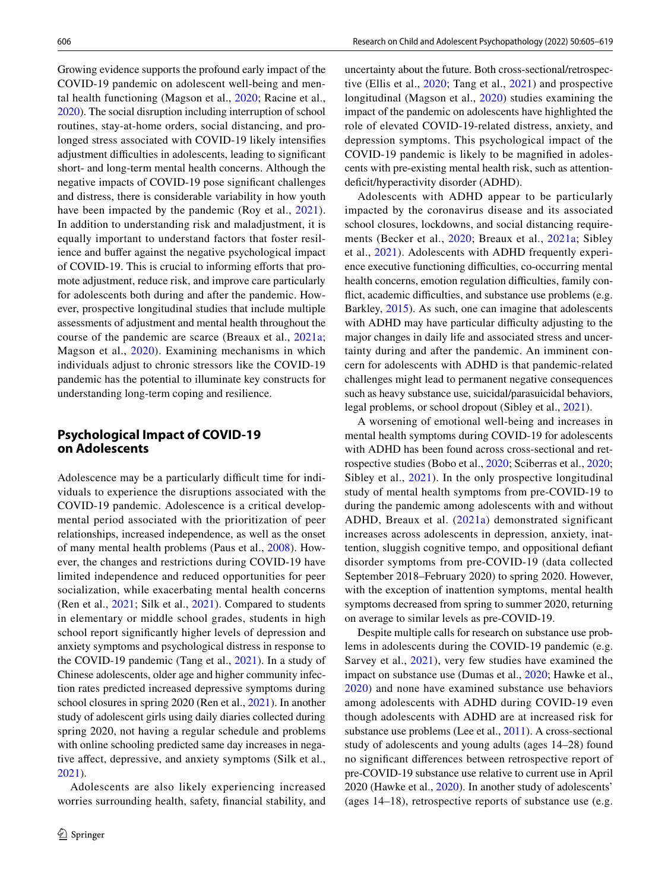Growing evidence supports the profound early impact of the COVID-19 pandemic on adolescent well-being and mental health functioning (Magson et al., [2020;](#page-14-0) Racine et al., [2020\)](#page-14-1). The social disruption including interruption of school routines, stay-at-home orders, social distancing, and prolonged stress associated with COVID-19 likely intensifes adjustment difficulties in adolescents, leading to significant short- and long-term mental health concerns. Although the negative impacts of COVID-19 pose signifcant challenges and distress, there is considerable variability in how youth have been impacted by the pandemic (Roy et al., [2021](#page-14-2)). In addition to understanding risk and maladjustment, it is equally important to understand factors that foster resilience and bufer against the negative psychological impact of COVID-19. This is crucial to informing eforts that promote adjustment, reduce risk, and improve care particularly for adolescents both during and after the pandemic. However, prospective longitudinal studies that include multiple assessments of adjustment and mental health throughout the course of the pandemic are scarce (Breaux et al., [2021a](#page-13-0); Magson et al., [2020](#page-14-0)). Examining mechanisms in which individuals adjust to chronic stressors like the COVID-19 pandemic has the potential to illuminate key constructs for understanding long-term coping and resilience.

# **Psychological Impact of COVID‑19 on Adolescents**

Adolescence may be a particularly difficult time for individuals to experience the disruptions associated with the COVID-19 pandemic. Adolescence is a critical developmental period associated with the prioritization of peer relationships, increased independence, as well as the onset of many mental health problems (Paus et al., [2008\)](#page-14-3). However, the changes and restrictions during COVID-19 have limited independence and reduced opportunities for peer socialization, while exacerbating mental health concerns (Ren et al., [2021;](#page-14-4) Silk et al., [2021\)](#page-14-5). Compared to students in elementary or middle school grades, students in high school report signifcantly higher levels of depression and anxiety symptoms and psychological distress in response to the COVID-19 pandemic (Tang et al., [2021\)](#page-14-6). In a study of Chinese adolescents, older age and higher community infection rates predicted increased depressive symptoms during school closures in spring 2020 (Ren et al., [2021](#page-14-4)). In another study of adolescent girls using daily diaries collected during spring 2020, not having a regular schedule and problems with online schooling predicted same day increases in negative affect, depressive, and anxiety symptoms (Silk et al., [2021](#page-14-5)).

Adolescents are also likely experiencing increased worries surrounding health, safety, fnancial stability, and uncertainty about the future. Both cross-sectional/retrospective (Ellis et al., [2020;](#page-13-1) Tang et al., [2021\)](#page-14-6) and prospective longitudinal (Magson et al., [2020\)](#page-14-0) studies examining the impact of the pandemic on adolescents have highlighted the role of elevated COVID-19-related distress, anxiety, and depression symptoms. This psychological impact of the COVID-19 pandemic is likely to be magnifed in adolescents with pre-existing mental health risk, such as attentiondeficit/hyperactivity disorder (ADHD).

Adolescents with ADHD appear to be particularly impacted by the coronavirus disease and its associated school closures, lockdowns, and social distancing requirements (Becker et al., [2020;](#page-13-2) Breaux et al., [2021a](#page-13-0); Sibley et al., [2021](#page-14-7)). Adolescents with ADHD frequently experience executive functioning difficulties, co-occurring mental health concerns, emotion regulation difficulties, family conflict, academic difficulties, and substance use problems (e.g. Barkley, [2015](#page-13-3)). As such, one can imagine that adolescents with ADHD may have particular difficulty adjusting to the major changes in daily life and associated stress and uncertainty during and after the pandemic. An imminent concern for adolescents with ADHD is that pandemic-related challenges might lead to permanent negative consequences such as heavy substance use, suicidal/parasuicidal behaviors, legal problems, or school dropout (Sibley et al., [2021](#page-14-7)).

A worsening of emotional well-being and increases in mental health symptoms during COVID-19 for adolescents with ADHD has been found across cross-sectional and retrospective studies (Bobo et al., [2020;](#page-13-4) Sciberras et al., [2020](#page-14-8); Sibley et al., [2021\)](#page-14-7). In the only prospective longitudinal study of mental health symptoms from pre-COVID-19 to during the pandemic among adolescents with and without ADHD, Breaux et al. ([2021a](#page-13-0)) demonstrated significant increases across adolescents in depression, anxiety, inattention, sluggish cognitive tempo, and oppositional defant disorder symptoms from pre-COVID-19 (data collected September 2018–February 2020) to spring 2020. However, with the exception of inattention symptoms, mental health symptoms decreased from spring to summer 2020, returning on average to similar levels as pre-COVID-19.

Despite multiple calls for research on substance use problems in adolescents during the COVID-19 pandemic (e.g. Sarvey et al., [2021](#page-14-9)), very few studies have examined the impact on substance use (Dumas et al., [2020](#page-13-5); Hawke et al., [2020\)](#page-13-6) and none have examined substance use behaviors among adolescents with ADHD during COVID-19 even though adolescents with ADHD are at increased risk for substance use problems (Lee et al., [2011](#page-13-7)). A cross-sectional study of adolescents and young adults (ages 14–28) found no signifcant diferences between retrospective report of pre-COVID-19 substance use relative to current use in April 2020 (Hawke et al., [2020](#page-13-6)). In another study of adolescents' (ages 14–18), retrospective reports of substance use (e.g.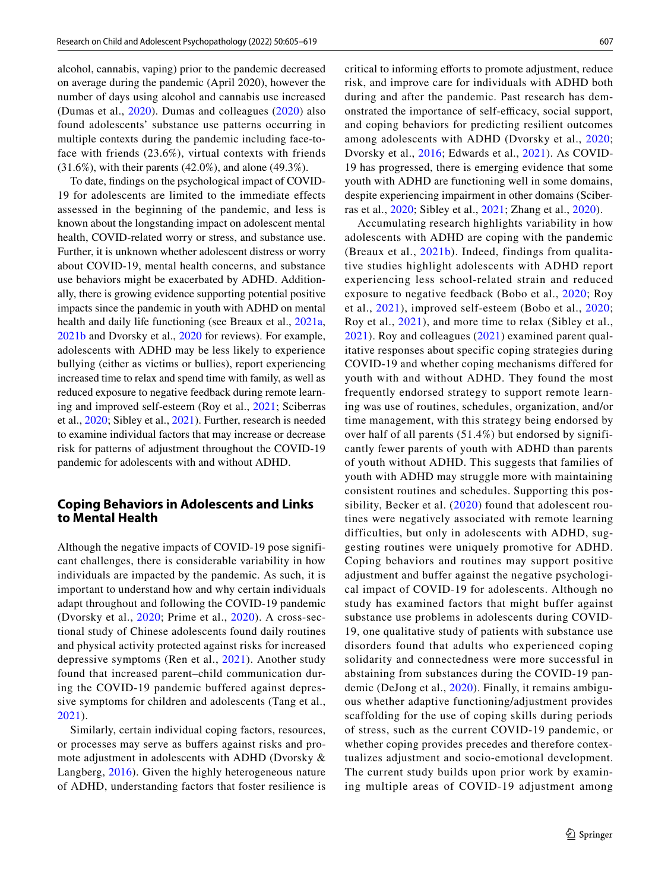alcohol, cannabis, vaping) prior to the pandemic decreased on average during the pandemic (April 2020), however the number of days using alcohol and cannabis use increased (Dumas et al., [2020](#page-13-5)). Dumas and colleagues ([2020\)](#page-13-5) also found adolescents' substance use patterns occurring in multiple contexts during the pandemic including face-toface with friends (23.6%), virtual contexts with friends (31.6%), with their parents (42.0%), and alone (49.3%).

To date, fndings on the psychological impact of COVID-19 for adolescents are limited to the immediate effects assessed in the beginning of the pandemic, and less is known about the longstanding impact on adolescent mental health, COVID-related worry or stress, and substance use. Further, it is unknown whether adolescent distress or worry about COVID-19, mental health concerns, and substance use behaviors might be exacerbated by ADHD. Additionally, there is growing evidence supporting potential positive impacts since the pandemic in youth with ADHD on mental health and daily life functioning (see Breaux et al., [2021a,](#page-13-0) [2021b](#page-13-8) and Dvorsky et al., [2020](#page-13-9) for reviews). For example, adolescents with ADHD may be less likely to experience bullying (either as victims or bullies), report experiencing increased time to relax and spend time with family, as well as reduced exposure to negative feedback during remote learning and improved self-esteem (Roy et al., [2021](#page-14-2); Sciberras et al., [2020](#page-14-8); Sibley et al., [2021\)](#page-14-7). Further, research is needed to examine individual factors that may increase or decrease risk for patterns of adjustment throughout the COVID-19 pandemic for adolescents with and without ADHD.

# **Coping Behaviors in Adolescents and Links to Mental Health**

Although the negative impacts of COVID-19 pose significant challenges, there is considerable variability in how individuals are impacted by the pandemic. As such, it is important to understand how and why certain individuals adapt throughout and following the COVID-19 pandemic (Dvorsky et al., [2020;](#page-13-9) Prime et al., [2020](#page-14-10)). A cross-sectional study of Chinese adolescents found daily routines and physical activity protected against risks for increased depressive symptoms (Ren et al., [2021\)](#page-14-4). Another study found that increased parent–child communication during the COVID-19 pandemic buffered against depressive symptoms for children and adolescents (Tang et al., [2021](#page-14-6)).

Similarly, certain individual coping factors, resources, or processes may serve as bufers against risks and promote adjustment in adolescents with ADHD (Dvorsky & Langberg, [2016](#page-13-10)). Given the highly heterogeneous nature of ADHD, understanding factors that foster resilience is critical to informing efforts to promote adjustment, reduce risk, and improve care for individuals with ADHD both during and after the pandemic. Past research has demonstrated the importance of self-efficacy, social support, and coping behaviors for predicting resilient outcomes among adolescents with ADHD (Dvorsky et al., [2020](#page-13-9); Dvorsky et al., [2016](#page-13-11); Edwards et al., [2021\)](#page-13-12). As COVID-19 has progressed, there is emerging evidence that some youth with ADHD are functioning well in some domains, despite experiencing impairment in other domains (Sciberras et al., [2020](#page-14-8); Sibley et al., [2021](#page-14-7); Zhang et al., [2020](#page-14-11)).

Accumulating research highlights variability in how adolescents with ADHD are coping with the pandemic (Breaux et al., [2021b](#page-13-8)). Indeed, findings from qualitative studies highlight adolescents with ADHD report experiencing less school-related strain and reduced exposure to negative feedback (Bobo et al., [2020;](#page-13-4) Roy et al., [2021\)](#page-14-2), improved self-esteem (Bobo et al., [2020](#page-13-4); Roy et al., [2021](#page-14-2)), and more time to relax (Sibley et al., [2021](#page-14-7)). Roy and colleagues ([2021\)](#page-14-2) examined parent qualitative responses about specific coping strategies during COVID-19 and whether coping mechanisms differed for youth with and without ADHD. They found the most frequently endorsed strategy to support remote learning was use of routines, schedules, organization, and/or time management, with this strategy being endorsed by over half of all parents (51.4%) but endorsed by significantly fewer parents of youth with ADHD than parents of youth without ADHD. This suggests that families of youth with ADHD may struggle more with maintaining consistent routines and schedules. Supporting this possibility, Becker et al. ([2020](#page-13-2)) found that adolescent routines were negatively associated with remote learning difficulties, but only in adolescents with ADHD, suggesting routines were uniquely promotive for ADHD. Coping behaviors and routines may support positive adjustment and buffer against the negative psychological impact of COVID-19 for adolescents. Although no study has examined factors that might buffer against substance use problems in adolescents during COVID-19, one qualitative study of patients with substance use disorders found that adults who experienced coping solidarity and connectedness were more successful in abstaining from substances during the COVID-19 pandemic (DeJong et al., [2020](#page-13-13)). Finally, it remains ambiguous whether adaptive functioning/adjustment provides scaffolding for the use of coping skills during periods of stress, such as the current COVID-19 pandemic, or whether coping provides precedes and therefore contextualizes adjustment and socio-emotional development. The current study builds upon prior work by examining multiple areas of COVID-19 adjustment among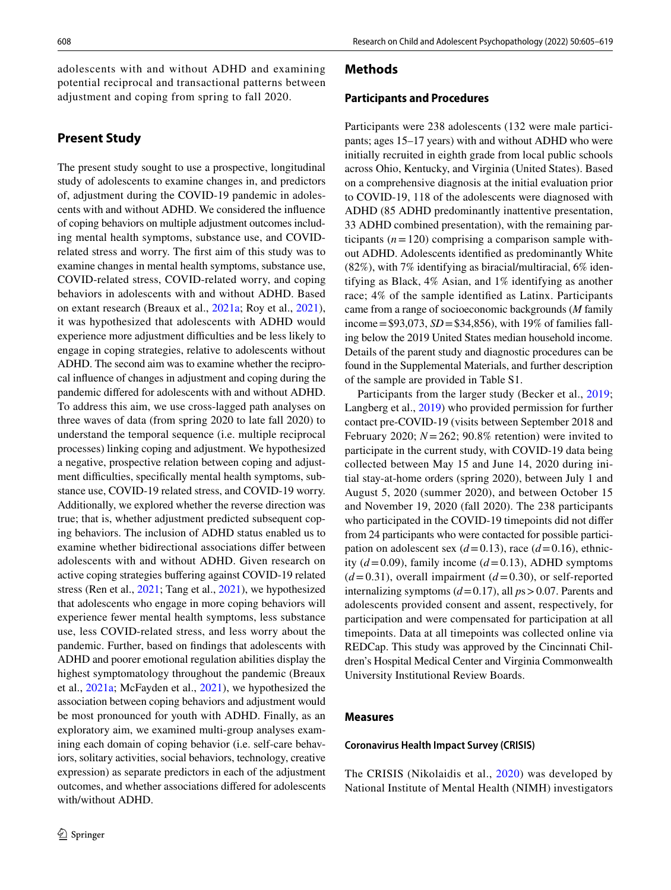adolescents with and without ADHD and examining potential reciprocal and transactional patterns between adjustment and coping from spring to fall 2020.

# **Present Study**

The present study sought to use a prospective, longitudinal study of adolescents to examine changes in, and predictors of, adjustment during the COVID-19 pandemic in adolescents with and without ADHD. We considered the infuence of coping behaviors on multiple adjustment outcomes including mental health symptoms, substance use, and COVIDrelated stress and worry. The frst aim of this study was to examine changes in mental health symptoms, substance use, COVID-related stress, COVID-related worry, and coping behaviors in adolescents with and without ADHD. Based on extant research (Breaux et al., [2021a;](#page-13-0) Roy et al., [2021](#page-14-2)), it was hypothesized that adolescents with ADHD would experience more adjustment difficulties and be less likely to engage in coping strategies, relative to adolescents without ADHD. The second aim was to examine whether the reciprocal infuence of changes in adjustment and coping during the pandemic difered for adolescents with and without ADHD. To address this aim, we use cross-lagged path analyses on three waves of data (from spring 2020 to late fall 2020) to understand the temporal sequence (i.e. multiple reciprocal processes) linking coping and adjustment. We hypothesized a negative, prospective relation between coping and adjustment difficulties, specifically mental health symptoms, substance use, COVID-19 related stress, and COVID-19 worry. Additionally, we explored whether the reverse direction was true; that is, whether adjustment predicted subsequent coping behaviors. The inclusion of ADHD status enabled us to examine whether bidirectional associations difer between adolescents with and without ADHD. Given research on active coping strategies buffering against COVID-19 related stress (Ren et al., [2021;](#page-14-4) Tang et al., [2021](#page-14-6)), we hypothesized that adolescents who engage in more coping behaviors will experience fewer mental health symptoms, less substance use, less COVID-related stress, and less worry about the pandemic. Further, based on fndings that adolescents with ADHD and poorer emotional regulation abilities display the highest symptomatology throughout the pandemic (Breaux et al., [2021a;](#page-13-0) McFayden et al., [2021\)](#page-14-12), we hypothesized the association between coping behaviors and adjustment would be most pronounced for youth with ADHD. Finally, as an exploratory aim, we examined multi-group analyses examining each domain of coping behavior (i.e. self-care behaviors, solitary activities, social behaviors, technology, creative expression) as separate predictors in each of the adjustment outcomes, and whether associations difered for adolescents with/without ADHD.

## **Methods**

#### **Participants and Procedures**

Participants were 238 adolescents (132 were male participants; ages 15–17 years) with and without ADHD who were initially recruited in eighth grade from local public schools across Ohio, Kentucky, and Virginia (United States). Based on a comprehensive diagnosis at the initial evaluation prior to COVID-19, 118 of the adolescents were diagnosed with ADHD (85 ADHD predominantly inattentive presentation, 33 ADHD combined presentation), with the remaining participants  $(n=120)$  comprising a comparison sample without ADHD. Adolescents identifed as predominantly White (82%), with 7% identifying as biracial/multiracial, 6% identifying as Black, 4% Asian, and 1% identifying as another race; 4% of the sample identifed as Latinx. Participants came from a range of socioeconomic backgrounds (*M* family income=\$93,073, *SD*=\$34,856), with 19% of families falling below the 2019 United States median household income. Details of the parent study and diagnostic procedures can be found in the Supplemental Materials, and further description of the sample are provided in Table S1.

Participants from the larger study (Becker et al., [2019](#page-13-14); Langberg et al., [2019\)](#page-13-15) who provided permission for further contact pre-COVID-19 (visits between September 2018 and February 2020;  $N = 262$ ; 90.8% retention) were invited to participate in the current study, with COVID-19 data being collected between May 15 and June 14, 2020 during initial stay-at-home orders (spring 2020), between July 1 and August 5, 2020 (summer 2020), and between October 15 and November 19, 2020 (fall 2020). The 238 participants who participated in the COVID-19 timepoints did not difer from 24 participants who were contacted for possible participation on adolescent sex  $(d=0.13)$ , race  $(d=0.16)$ , ethnicity  $(d=0.09)$ , family income  $(d=0.13)$ , ADHD symptoms  $(d=0.31)$ , overall impairment  $(d=0.30)$ , or self-reported internalizing symptoms (*d*=0.17), all *p*s>0.07. Parents and adolescents provided consent and assent, respectively, for participation and were compensated for participation at all timepoints. Data at all timepoints was collected online via REDCap. This study was approved by the Cincinnati Children's Hospital Medical Center and Virginia Commonwealth University Institutional Review Boards.

## **Measures**

## **Coronavirus Health Impact Survey (CRISIS)**

The CRISIS (Nikolaidis et al., [2020\)](#page-14-13) was developed by National Institute of Mental Health (NIMH) investigators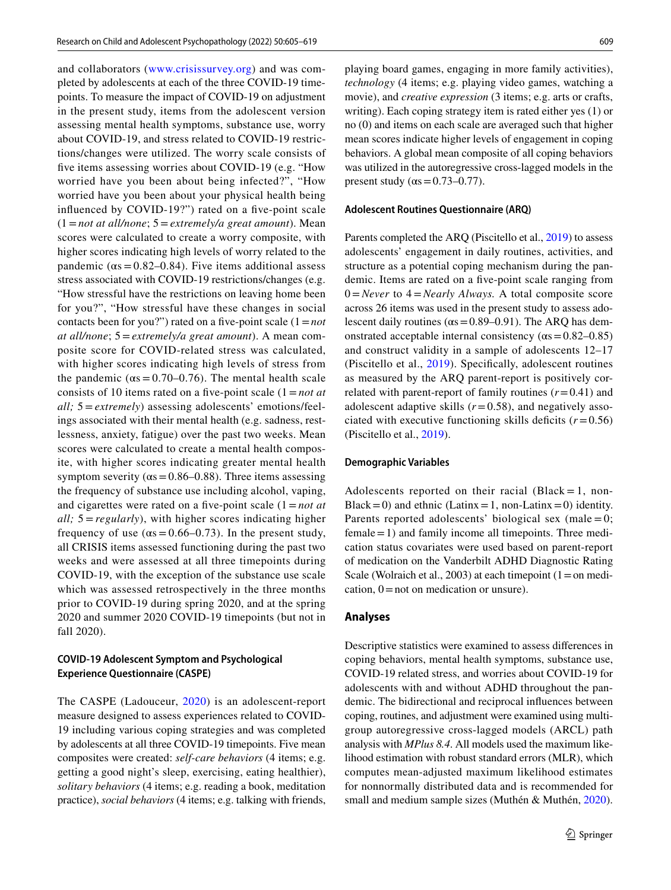and collaborators ([www.crisissurvey.org\)](http://www.crisissurvey.org) and was completed by adolescents at each of the three COVID-19 timepoints. To measure the impact of COVID-19 on adjustment in the present study, items from the adolescent version assessing mental health symptoms, substance use, worry about COVID-19, and stress related to COVID-19 restrictions/changes were utilized. The worry scale consists of fve items assessing worries about COVID-19 (e.g. "How worried have you been about being infected?", "How worried have you been about your physical health being infuenced by COVID-19?") rated on a fve-point scale (1=*not at all/none*; 5=*extremely/a great amount*). Mean scores were calculated to create a worry composite, with higher scores indicating high levels of worry related to the pandemic ( $\alpha s = 0.82 - 0.84$ ). Five items additional assess stress associated with COVID-19 restrictions/changes (e.g. "How stressful have the restrictions on leaving home been for you?", "How stressful have these changes in social contacts been for you?") rated on a five-point scale  $(1 = not$ *at all/none*; 5=*extremely/a great amount*). A mean composite score for COVID-related stress was calculated, with higher scores indicating high levels of stress from the pandemic ( $\alpha s = 0.70 - 0.76$ ). The mental health scale consists of 10 items rated on a fve-point scale (1=*not at all;* 5 = *extremely*) assessing adolescents' emotions/feelings associated with their mental health (e.g. sadness, restlessness, anxiety, fatigue) over the past two weeks. Mean scores were calculated to create a mental health composite, with higher scores indicating greater mental health symptom severity ( $\alpha s = 0.86 - 0.88$ ). Three items assessing the frequency of substance use including alcohol, vaping, and cigarettes were rated on a fve-point scale (1=*not at all;* 5 = *regularly*), with higher scores indicating higher frequency of use ( $\alpha s = 0.66 - 0.73$ ). In the present study, all CRISIS items assessed functioning during the past two weeks and were assessed at all three timepoints during COVID-19, with the exception of the substance use scale which was assessed retrospectively in the three months prior to COVID-19 during spring 2020, and at the spring 2020 and summer 2020 COVID-19 timepoints (but not in fall 2020).

## **COVID‑19 Adolescent Symptom and Psychological Experience Questionnaire (CASPE)**

The CASPE (Ladouceur, [2020](#page-13-16)) is an adolescent-report measure designed to assess experiences related to COVID-19 including various coping strategies and was completed by adolescents at all three COVID-19 timepoints. Five mean composites were created: *self-care behaviors* (4 items; e.g. getting a good night's sleep, exercising, eating healthier), *solitary behaviors* (4 items; e.g. reading a book, meditation practice), *social behaviors* (4 items; e.g. talking with friends,

playing board games, engaging in more family activities), *technology* (4 items; e.g. playing video games, watching a movie), and *creative expression* (3 items; e.g. arts or crafts, writing). Each coping strategy item is rated either yes (1) or no (0) and items on each scale are averaged such that higher mean scores indicate higher levels of engagement in coping behaviors. A global mean composite of all coping behaviors was utilized in the autoregressive cross-lagged models in the present study ( $\alpha s = 0.73 - 0.77$ ).

#### **Adolescent Routines Questionnaire (ARQ)**

Parents completed the ARQ (Piscitello et al., [2019\)](#page-14-14) to assess adolescents' engagement in daily routines, activities, and structure as a potential coping mechanism during the pandemic. Items are rated on a fve-point scale ranging from 0=*Never* to 4=*Nearly Always.* A total composite score across 26 items was used in the present study to assess adolescent daily routines ( $\alpha s = 0.89 - 0.91$ ). The ARQ has demonstrated acceptable internal consistency  $(\alpha s = 0.82 - 0.85)$ and construct validity in a sample of adolescents 12–17 (Piscitello et al., [2019\)](#page-14-14). Specifcally, adolescent routines as measured by the ARQ parent-report is positively correlated with parent-report of family routines  $(r=0.41)$  and adolescent adaptive skills  $(r=0.58)$ , and negatively associated with executive functioning skills deficits  $(r=0.56)$ (Piscitello et al., [2019](#page-14-14)).

#### **Demographic Variables**

Adolescents reported on their racial (Black = 1, non-Black = 0) and ethnic (Latinx = 1, non-Latinx = 0) identity. Parents reported adolescents' biological sex (male  $= 0$ ;  $f$  female  $=1$ ) and family income all timepoints. Three medication status covariates were used based on parent-report of medication on the Vanderbilt ADHD Diagnostic Rating Scale (Wolraich et al., 2003) at each timepoint  $(1 = 0$  medication,  $0 =$  not on medication or unsure).

#### **Analyses**

Descriptive statistics were examined to assess diferences in coping behaviors, mental health symptoms, substance use, COVID-19 related stress, and worries about COVID-19 for adolescents with and without ADHD throughout the pandemic. The bidirectional and reciprocal infuences between coping, routines, and adjustment were examined using multigroup autoregressive cross-lagged models (ARCL) path analysis with *MPlus 8.4*. All models used the maximum likelihood estimation with robust standard errors (MLR), which computes mean-adjusted maximum likelihood estimates for nonnormally distributed data and is recommended for small and medium sample sizes (Muthén & Muthén, [2020](#page-14-15)).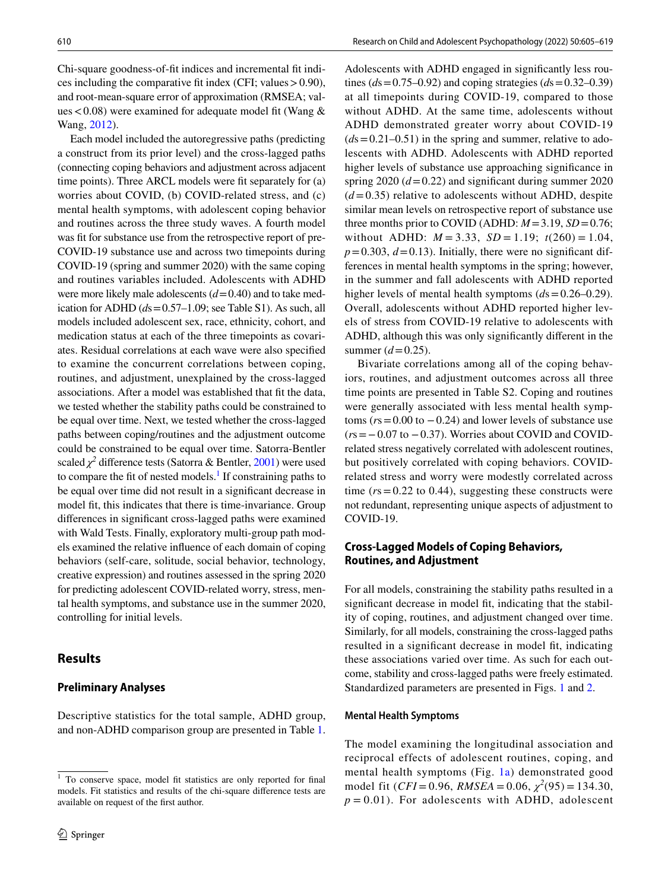Chi-square goodness-of-ft indices and incremental ft indices including the comparative fit index (CFI; values  $> 0.90$ ), and root-mean-square error of approximation (RMSEA; values < 0.08) were examined for adequate model fit (Wang  $\&$ Wang, [2012\)](#page-14-16).

Each model included the autoregressive paths (predicting a construct from its prior level) and the cross-lagged paths (connecting coping behaviors and adjustment across adjacent time points). Three ARCL models were ft separately for (a) worries about COVID, (b) COVID-related stress, and (c) mental health symptoms, with adolescent coping behavior and routines across the three study waves. A fourth model was fit for substance use from the retrospective report of pre-COVID-19 substance use and across two timepoints during COVID-19 (spring and summer 2020) with the same coping and routines variables included. Adolescents with ADHD were more likely male adolescents ( $d$ =0.40) and to take medication for ADHD (*d*s=0.57–1.09; see Table S1). As such, all models included adolescent sex, race, ethnicity, cohort, and medication status at each of the three timepoints as covariates. Residual correlations at each wave were also specifed to examine the concurrent correlations between coping, routines, and adjustment, unexplained by the cross-lagged associations. After a model was established that ft the data, we tested whether the stability paths could be constrained to be equal over time. Next, we tested whether the cross-lagged paths between coping/routines and the adjustment outcome could be constrained to be equal over time. Satorra-Bentler scaled  $\chi^2$  difference tests (Satorra & Bentler, [2001\)](#page-14-17) were used to compare the fit of nested models.<sup>1</sup> If constraining paths to be equal over time did not result in a signifcant decrease in model ft, this indicates that there is time-invariance. Group diferences in signifcant cross-lagged paths were examined with Wald Tests. Finally, exploratory multi-group path models examined the relative infuence of each domain of coping behaviors (self-care, solitude, social behavior, technology, creative expression) and routines assessed in the spring 2020 for predicting adolescent COVID-related worry, stress, mental health symptoms, and substance use in the summer 2020, controlling for initial levels.

## **Results**

## **Preliminary Analyses**

Descriptive statistics for the total sample, ADHD group, and non-ADHD comparison group are presented in Table [1.](#page-6-0)

Adolescents with ADHD engaged in signifcantly less routines ( $ds = 0.75 - 0.92$ ) and coping strategies ( $ds = 0.32 - 0.39$ ) at all timepoints during COVID-19, compared to those without ADHD. At the same time, adolescents without ADHD demonstrated greater worry about COVID-19  $(ds=0.21-0.51)$  in the spring and summer, relative to adolescents with ADHD. Adolescents with ADHD reported higher levels of substance use approaching signifcance in spring  $2020(d=0.22)$  and significant during summer  $2020$  $(d=0.35)$  relative to adolescents without ADHD, despite similar mean levels on retrospective report of substance use three months prior to COVID (ADHD:  $M = 3.19$ ,  $SD = 0.76$ ; without ADHD:  $M = 3.33$ ,  $SD = 1.19$ ;  $t(260) = 1.04$ ,  $p=0.303, d=0.13$ . Initially, there were no significant differences in mental health symptoms in the spring; however, in the summer and fall adolescents with ADHD reported higher levels of mental health symptoms (*d*s=0.26–0.29). Overall, adolescents without ADHD reported higher levels of stress from COVID-19 relative to adolescents with ADHD, although this was only signifcantly diferent in the summer  $(d = 0.25)$ .

Bivariate correlations among all of the coping behaviors, routines, and adjustment outcomes across all three time points are presented in Table S2. Coping and routines were generally associated with less mental health symptoms ( $rs = 0.00$  to  $-0.24$ ) and lower levels of substance use (*r*s=−0.07 to −0.37). Worries about COVID and COVIDrelated stress negatively correlated with adolescent routines, but positively correlated with coping behaviors. COVIDrelated stress and worry were modestly correlated across time  $(rs = 0.22$  to 0.44), suggesting these constructs were not redundant, representing unique aspects of adjustment to COVID-19.

# **Cross‑Lagged Models of Coping Behaviors, Routines, and Adjustment**

For all models, constraining the stability paths resulted in a significant decrease in model fit, indicating that the stability of coping, routines, and adjustment changed over time. Similarly, for all models, constraining the cross-lagged paths resulted in a signifcant decrease in model ft, indicating these associations varied over time. As such for each outcome, stability and cross-lagged paths were freely estimated. Standardized parameters are presented in Figs. [1](#page-9-0) and [2](#page-10-0).

#### **Mental Health Symptoms**

The model examining the longitudinal association and reciprocal effects of adolescent routines, coping, and mental health symptoms (Fig. [1a](#page-9-0)) demonstrated good model fit (*CFI* = 0.96, *RMSEA* = 0.06,  $\chi^2$ (95) = 134.30,  $p = 0.01$ ). For adolescents with ADHD, adolescent

<span id="page-5-0"></span><sup>1</sup> To conserve space, model ft statistics are only reported for fnal models. Fit statistics and results of the chi-square diference tests are available on request of the frst author.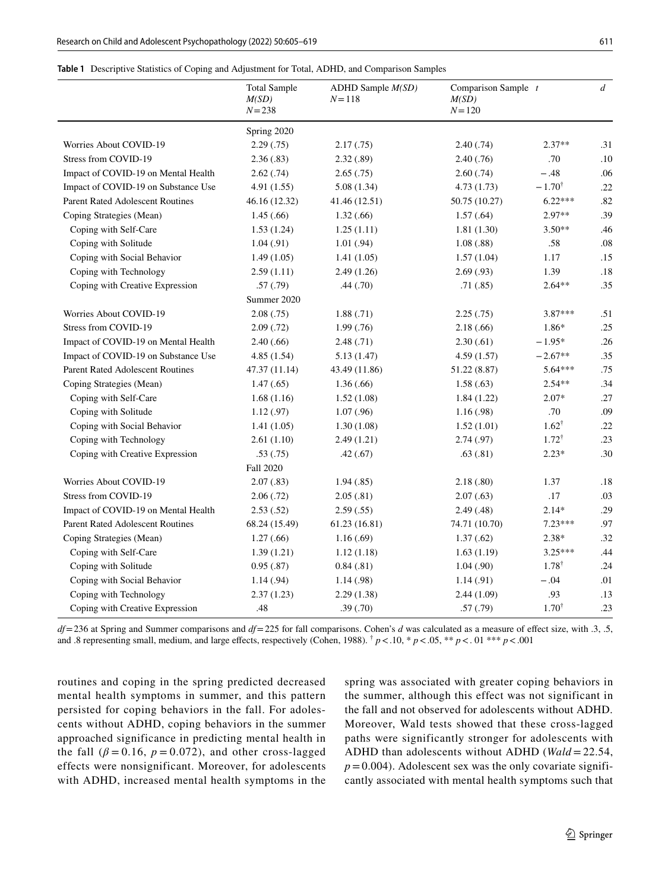<span id="page-6-0"></span>

|  | Table 1 Descriptive Statistics of Coping and Adjustment for Total, ADHD, and Comparison Samples |  |  |  |  |  |
|--|-------------------------------------------------------------------------------------------------|--|--|--|--|--|
|--|-------------------------------------------------------------------------------------------------|--|--|--|--|--|

|                                         | <b>Total Sample</b><br>M(SD)<br>$N = 238$ | ADHD Sample M(SD)<br>$N = 118$ | Comparison Sample $t$<br>M(SD)<br>$N = 120$ |                   | $\overline{d}$ |
|-----------------------------------------|-------------------------------------------|--------------------------------|---------------------------------------------|-------------------|----------------|
|                                         | Spring 2020                               |                                |                                             |                   |                |
| Worries About COVID-19                  | 2.29(.75)                                 | 2.17(0.75)                     | 2.40(0.74)                                  | $2.37**$          | .31            |
| Stress from COVID-19                    | 2.36(.83)                                 | 2.32(.89)                      | 2.40(0.76)                                  | .70               | .10            |
| Impact of COVID-19 on Mental Health     | 2.62(0.74)                                | 2.65(.75)                      | 2.60(.74)                                   | $-.48$            | .06            |
| Impact of COVID-19 on Substance Use     | 4.91(1.55)                                | 5.08(1.34)                     | 4.73(1.73)                                  | $-1.70^{\dagger}$ | .22            |
| <b>Parent Rated Adolescent Routines</b> | 46.16 (12.32)                             | 41.46 (12.51)                  | 50.75 (10.27)                               | $6.22***$         | .82            |
| Coping Strategies (Mean)                | 1.45(.66)                                 | 1.32(0.66)                     | 1.57(.64)                                   | 2.97**            | .39            |
| Coping with Self-Care                   | 1.53(1.24)                                | 1.25(1.11)                     | 1.81(1.30)                                  | $3.50**$          | .46            |
| Coping with Solitude                    | 1.04(0.91)                                | 1.01(.94)                      | 1.08(.88)                                   | .58               | .08            |
| Coping with Social Behavior             | 1.49(1.05)                                | 1.41(1.05)                     | 1.57(1.04)                                  | 1.17              | .15            |
| Coping with Technology                  | 2.59(1.11)                                | 2.49(1.26)                     | 2.69(.93)                                   | 1.39              | .18            |
| Coping with Creative Expression         | .57(.79)                                  | .44(.70)                       | .71(.85)                                    | $2.64**$          | .35            |
|                                         | Summer 2020                               |                                |                                             |                   |                |
| Worries About COVID-19                  | 2.08(.75)                                 | 1.88(.71)                      | 2.25(.75)                                   | 3.87***           | .51            |
| Stress from COVID-19                    | 2.09(0.72)                                | 1.99(0.76)                     | 2.18(.66)                                   | $1.86*$           | .25            |
| Impact of COVID-19 on Mental Health     | 2.40(0.66)                                | 2.48(.71)                      | 2.30(.61)                                   | $-1.95*$          | .26            |
| Impact of COVID-19 on Substance Use     | 4.85(1.54)                                | 5.13(1.47)                     | 4.59(1.57)                                  | $-2.67**$         | .35            |
| <b>Parent Rated Adolescent Routines</b> | 47.37 (11.14)                             | 43.49 (11.86)                  | 51.22 (8.87)                                | $5.64***$         | .75            |
| Coping Strategies (Mean)                | 1.47(0.65)                                | 1.36(.66)                      | 1.58(.63)                                   | $2.54**$          | .34            |
| Coping with Self-Care                   | 1.68(1.16)                                | 1.52(1.08)                     | 1.84(1.22)                                  | $2.07*$           | .27            |
| Coping with Solitude                    | 1.12(.97)                                 | 1.07(.96)                      | 1.16(0.98)                                  | .70               | .09            |
| Coping with Social Behavior             | 1.41(1.05)                                | 1.30(1.08)                     | 1.52(1.01)                                  | $1.62^{\dagger}$  | .22            |
| Coping with Technology                  | 2.61(1.10)                                | 2.49(1.21)                     | 2.74(.97)                                   | $1.72^{\dagger}$  | .23            |
| Coping with Creative Expression         | .53(.75)                                  | .42(.67)                       | .63(.81)                                    | $2.23*$           | .30            |
|                                         | <b>Fall 2020</b>                          |                                |                                             |                   |                |
| <b>Worries About COVID-19</b>           | 2.07(0.83)                                | 1.94(.85)                      | 2.18(.80)                                   | 1.37              | .18            |
| Stress from COVID-19                    | 2.06(0.72)                                | 2.05(.81)                      | 2.07(0.63)                                  | .17               | .03            |
| Impact of COVID-19 on Mental Health     | 2.53(.52)                                 | 2.59(.55)                      | 2.49(0.48)                                  | $2.14*$           | .29            |
| <b>Parent Rated Adolescent Routines</b> | 68.24 (15.49)                             | 61.23(16.81)                   | 74.71 (10.70)                               | 7.23***           | .97            |
| Coping Strategies (Mean)                | 1.27(0.66)                                | 1.16(0.69)                     | 1.37(0.62)                                  | $2.38*$           | .32            |
| Coping with Self-Care                   | 1.39(1.21)                                | 1.12(1.18)                     | 1.63(1.19)                                  | $3.25***$         | .44            |
| Coping with Solitude                    | 0.95(.87)                                 | 0.84(0.81)                     | 1.04(0.90)                                  | $1.78^{\dagger}$  | .24            |
| Coping with Social Behavior             | 1.14(0.94)                                | 1.14(0.98)                     | 1.14(0.91)                                  | $-.04$            | .01            |
| Coping with Technology                  | 2.37(1.23)                                | 2.29(1.38)                     | 2.44(1.09)                                  | .93               | .13            |
| Coping with Creative Expression         | .48                                       | .39(.70)                       | .57(.79)                                    | $1.70^{\dagger}$  | .23            |

*df*=236 at Spring and Summer comparisons and *df*=225 for fall comparisons. Cohen's *d* was calculated as a measure of efect size, with .3, .5, and .8 representing small, medium, and large effects, respectively (Cohen, 1988).  $\frac{1}{T}p < 0.10$ ,  $\frac{k}{T}p < 0.01$ ,  $\frac{k}{T}p < 0.01$ 

routines and coping in the spring predicted decreased mental health symptoms in summer, and this pattern persisted for coping behaviors in the fall. For adolescents without ADHD, coping behaviors in the summer approached significance in predicting mental health in the fall  $(\beta = 0.16, p = 0.072)$ , and other cross-lagged effects were nonsignificant. Moreover, for adolescents with ADHD, increased mental health symptoms in the spring was associated with greater coping behaviors in the summer, although this effect was not significant in the fall and not observed for adolescents without ADHD. Moreover, Wald tests showed that these cross-lagged paths were significantly stronger for adolescents with ADHD than adolescents without ADHD (*Wald* = 22.54,  $p=0.004$ ). Adolescent sex was the only covariate significantly associated with mental health symptoms such that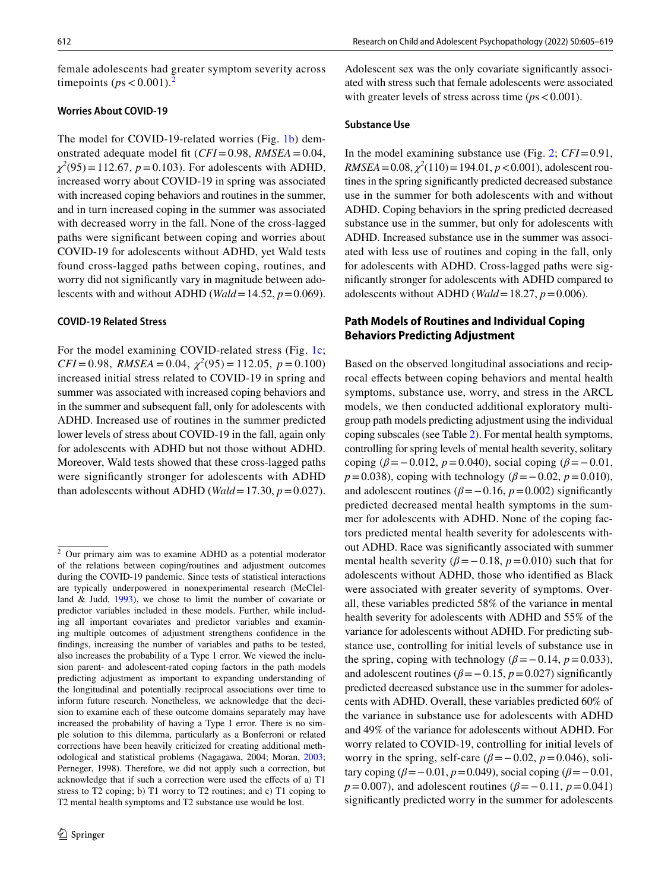female adolescents had greater symptom severity across timepoints ( $ps < 0.001$ ).

## **Worries About COVID‑19**

The model for COVID-19-related worries (Fig. [1b\)](#page-9-0) demonstrated adequate model ft (*CFI*=0.98, *RMSEA*=0.04,  $\chi^2(95) = 112.67$ , *p*=0.103). For adolescents with ADHD, increased worry about COVID-19 in spring was associated with increased coping behaviors and routines in the summer, and in turn increased coping in the summer was associated with decreased worry in the fall. None of the cross-lagged paths were signifcant between coping and worries about COVID-19 for adolescents without ADHD, yet Wald tests found cross-lagged paths between coping, routines, and worry did not signifcantly vary in magnitude between adolescents with and without ADHD (*Wald*=14.52, *p*=0.069).

#### **COVID‑19 Related Stress**

For the model examining COVID-related stress (Fig. [1c](#page-9-0);  $CFI = 0.98$ ,  $RMSEA = 0.04$ ,  $\chi^2(95) = 112.05$ ,  $p = 0.100$ ) increased initial stress related to COVID-19 in spring and summer was associated with increased coping behaviors and in the summer and subsequent fall, only for adolescents with ADHD. Increased use of routines in the summer predicted lower levels of stress about COVID-19 in the fall, again only for adolescents with ADHD but not those without ADHD. Moreover, Wald tests showed that these cross-lagged paths were signifcantly stronger for adolescents with ADHD than adolescents without ADHD (*Wald* = 17.30,  $p = 0.027$ ).

Adolescent sex was the only covariate signifcantly associated with stress such that female adolescents were associated with greater levels of stress across time  $(ps < 0.001)$ .

#### **Substance Use**

In the model examining substance use (Fig. [2](#page-10-0); *CFI*=0.91,  $RMSEA = 0.08$ ,  $\chi^2(110) = 194.01$ ,  $p < 0.001$ ), adolescent routines in the spring signifcantly predicted decreased substance use in the summer for both adolescents with and without ADHD. Coping behaviors in the spring predicted decreased substance use in the summer, but only for adolescents with ADHD. Increased substance use in the summer was associated with less use of routines and coping in the fall, only for adolescents with ADHD. Cross-lagged paths were signifcantly stronger for adolescents with ADHD compared to adolescents without ADHD (*Wald* = 18.27,  $p = 0.006$ ).

# **Path Models of Routines and Individual Coping Behaviors Predicting Adjustment**

Based on the observed longitudinal associations and reciprocal efects between coping behaviors and mental health symptoms, substance use, worry, and stress in the ARCL models, we then conducted additional exploratory multigroup path models predicting adjustment using the individual coping subscales (see Table [2\)](#page-8-0). For mental health symptoms, controlling for spring levels of mental health severity, solitary coping ( $\beta$ =−0.012, *p*=0.040), social coping ( $\beta$ =−0.01, *p*=0.038), coping with technology (*β*=−0.02, *p*=0.010), and adolescent routines ( $\beta$ =−0.16, *p*=0.002) significantly predicted decreased mental health symptoms in the summer for adolescents with ADHD. None of the coping factors predicted mental health severity for adolescents without ADHD. Race was signifcantly associated with summer mental health severity ( $\beta$ =−0.18, *p*=0.010) such that for adolescents without ADHD, those who identifed as Black were associated with greater severity of symptoms. Overall, these variables predicted 58% of the variance in mental health severity for adolescents with ADHD and 55% of the variance for adolescents without ADHD. For predicting substance use, controlling for initial levels of substance use in the spring, coping with technology ( $\beta$ =−0.14, *p*=0.033), and adolescent routines ( $\beta$ =−0.15, *p*=0.027) significantly predicted decreased substance use in the summer for adolescents with ADHD. Overall, these variables predicted 60% of the variance in substance use for adolescents with ADHD and 49% of the variance for adolescents without ADHD. For worry related to COVID-19, controlling for initial levels of worry in the spring, self-care  $(\beta = -0.02, p = 0.046)$ , solitary coping (*β*=−0.01, *p*=0.049), social coping (*β*=−0.01, *p*=0.007), and adolescent routines ( $\beta$ =−0.11, *p*=0.041) signifcantly predicted worry in the summer for adolescents

<span id="page-7-0"></span><sup>2</sup> Our primary aim was to examine ADHD as a potential moderator of the relations between coping/routines and adjustment outcomes during the COVID-19 pandemic. Since tests of statistical interactions are typically underpowered in nonexperimental research (McClelland & Judd, [1993](#page-14-18)), we chose to limit the number of covariate or predictor variables included in these models. Further, while including all important covariates and predictor variables and examining multiple outcomes of adjustment strengthens confdence in the fndings, increasing the number of variables and paths to be tested, also increases the probability of a Type 1 error. We viewed the inclusion parent- and adolescent-rated coping factors in the path models predicting adjustment as important to expanding understanding of the longitudinal and potentially reciprocal associations over time to inform future research. Nonetheless, we acknowledge that the decision to examine each of these outcome domains separately may have increased the probability of having a Type 1 error. There is no simple solution to this dilemma, particularly as a Bonferroni or related corrections have been heavily criticized for creating additional methodological and statistical problems (Nagagawa, 2004; Moran, [2003;](#page-14-19) Perneger, 1998). Therefore, we did not apply such a correction, but acknowledge that if such a correction were used the efects of a) T1 stress to T2 coping; b) T1 worry to T2 routines; and c) T1 coping to T2 mental health symptoms and T2 substance use would be lost.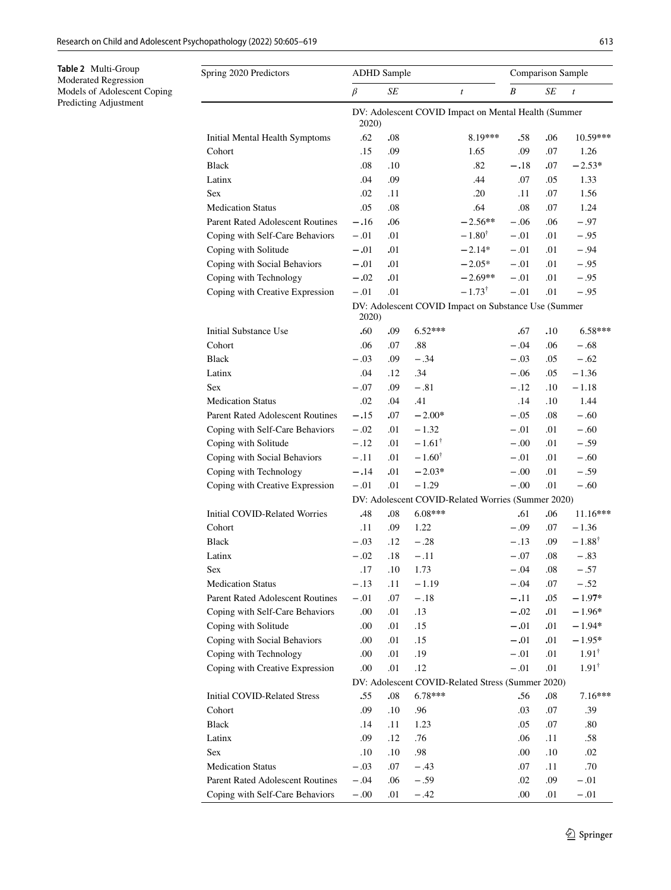<span id="page-8-0"></span>**Table 2** Multi-Group Moderated Regression Models of Adolescent Coping Predicting Adjustment

| Spring 2020 Predictors                                        | <b>ADHD</b> Sample                                            |     |                   |                                                    | <b>Comparison Sample</b> |             |                   |  |  |
|---------------------------------------------------------------|---------------------------------------------------------------|-----|-------------------|----------------------------------------------------|--------------------------|-------------|-------------------|--|--|
|                                                               | $\beta$                                                       | SE  |                   | $\boldsymbol{t}$                                   | B                        | SE          | $\boldsymbol{t}$  |  |  |
| DV: Adolescent COVID Impact on Mental Health (Summer<br>2020) |                                                               |     |                   |                                                    |                          |             |                   |  |  |
| Initial Mental Health Symptoms                                | .62                                                           | .08 |                   | $8.19***$                                          | .58                      | .06         | 10.59***          |  |  |
| Cohort                                                        | .15                                                           | .09 |                   | 1.65                                               | .09                      | .07         | 1.26              |  |  |
| <b>Black</b>                                                  | .08                                                           | .10 |                   | .82                                                | $-.18$                   | .07         | $-2.53*$          |  |  |
| Latinx                                                        | .04                                                           | .09 |                   | .44                                                | .07                      | .05         | 1.33              |  |  |
| <b>Sex</b>                                                    | .02                                                           | .11 |                   | .20                                                | .11                      | .07         | 1.56              |  |  |
| <b>Medication Status</b>                                      | .05                                                           | .08 |                   | .64                                                | .08                      | .07         | 1.24              |  |  |
| <b>Parent Rated Adolescent Routines</b>                       | $-.16$                                                        | .06 |                   | $-2.56**$                                          | $-.06$                   | .06         | $-.97$            |  |  |
| Coping with Self-Care Behaviors                               | $-.01$                                                        | .01 |                   | $-1.80^{\dagger}$                                  | $-.01$                   | .01         | $-.95$            |  |  |
| Coping with Solitude                                          | $-.01$                                                        | .01 |                   | $-2.14*$                                           | $-.01$                   | .01         | $-.94$            |  |  |
| Coping with Social Behaviors                                  | $-.01$                                                        | .01 |                   | $-2.05*$                                           | $-.01$                   | .01         | $-.95$            |  |  |
| Coping with Technology                                        | $-.02$                                                        | .01 |                   | $-2.69**$                                          | $-.01$                   | .01         | $-.95$            |  |  |
| Coping with Creative Expression                               | $-.01$                                                        | .01 |                   | $-1.73^{\dagger}$                                  | $-.01$                   | .01         | $-.95$            |  |  |
|                                                               | DV: Adolescent COVID Impact on Substance Use (Summer<br>2020) |     |                   |                                                    |                          |             |                   |  |  |
| <b>Initial Substance Use</b>                                  | .60                                                           | .09 | $6.52***$         |                                                    | .67                      | .10         | $6.58***$         |  |  |
| Cohort                                                        | .06                                                           | .07 | .88               |                                                    | $-.04$                   | .06         | $-.68$            |  |  |
| <b>Black</b>                                                  | $-.03$                                                        | .09 | $-.34$            |                                                    | $-.03$                   | .05         | $-.62$            |  |  |
| Latinx                                                        | .04                                                           | .12 | .34               |                                                    | $-.06$                   | .05         | $-1.36$           |  |  |
| Sex                                                           | $-.07$                                                        | .09 | $-.81$            |                                                    | $-.12$                   | .10         | $-1.18$           |  |  |
| <b>Medication Status</b>                                      | .02                                                           | .04 | .41               |                                                    | .14                      | .10         | 1.44              |  |  |
| Parent Rated Adolescent Routines                              | $-.15$                                                        | .07 | $-2.00*$          |                                                    | $-.05$                   | .08         | $-.60$            |  |  |
| Coping with Self-Care Behaviors                               | $-.02$                                                        | .01 | $-1.32$           |                                                    | $-.01$                   | .01         | $-.60$            |  |  |
| Coping with Solitude                                          | $-.12$                                                        | .01 | $-1.61^{\dagger}$ |                                                    | $-.00$                   | .01         | $-.59$            |  |  |
| Coping with Social Behaviors                                  | $-.11$                                                        | .01 | $-1.60^{\dagger}$ |                                                    | $-.01$                   | .01         | $-.60$            |  |  |
| Coping with Technology                                        | $-.14$                                                        | .01 | $-2.03*$          |                                                    | $-.00$                   | .01         | $-.59$            |  |  |
| Coping with Creative Expression                               | $-.01$                                                        | .01 | $-1.29$           |                                                    | $-.00$                   | .01         | $-.60$            |  |  |
|                                                               |                                                               |     |                   | DV: Adolescent COVID-Related Worries (Summer 2020) |                          |             |                   |  |  |
| Initial COVID-Related Worries                                 | .48                                                           | .08 | 6.08***           |                                                    | .61                      | .06         | $11.16***$        |  |  |
| Cohort                                                        | .11                                                           | .09 | 1.22              |                                                    | $-.09$                   | .07         | $-1.36$           |  |  |
| <b>Black</b>                                                  | $-.03$                                                        | .12 | $-.28$            |                                                    | $-.13$                   | .09         | $-1.88^{\dagger}$ |  |  |
| Latinx                                                        | $-.02$                                                        | .18 | $-.11$            |                                                    | $-.07$                   | .08         | $-.83$            |  |  |
| Sex                                                           | $.17\,$                                                       | .10 | 1.73              |                                                    | $-.04$                   | $.08\,$     | $-.57$            |  |  |
| <b>Medication Status</b>                                      | $-.13$                                                        | .11 | $-1.19$           |                                                    | $-.04$                   | .07         | $-.52$            |  |  |
| Parent Rated Adolescent Routines                              | $-.01$                                                        | .07 | $-.18$            |                                                    | $-.11$                   | .05         | $-1.97*$          |  |  |
| Coping with Self-Care Behaviors                               | .00                                                           | .01 | .13               |                                                    | $-.02$                   | ${\bf .01}$ | $-1.96*$          |  |  |
| Coping with Solitude                                          | .00.                                                          | .01 | .15               |                                                    | $-.01$                   | .01         | $-1.94*$          |  |  |
| Coping with Social Behaviors                                  | .00.                                                          | .01 | .15               |                                                    | $-.01$                   | .01         | $-1.95*$          |  |  |
| Coping with Technology                                        | .00                                                           | .01 | .19               |                                                    | $-.01$                   | .01         | $1.91^{\dagger}$  |  |  |
| Coping with Creative Expression                               | .00                                                           | .01 | .12               |                                                    | $-.01$                   | .01         | $1.91^{\dagger}$  |  |  |
| DV: Adolescent COVID-Related Stress (Summer 2020)             |                                                               |     |                   |                                                    |                          |             |                   |  |  |
| Initial COVID-Related Stress                                  | .55                                                           | .08 | 6.78***           |                                                    | .56                      | .08         | 7.16***           |  |  |
| Cohort                                                        | .09                                                           | .10 | .96               |                                                    | .03                      | .07         | .39               |  |  |
| <b>Black</b>                                                  | .14                                                           | .11 | 1.23              |                                                    | .05                      | .07         | .80               |  |  |
| Latinx                                                        | .09                                                           | .12 | .76               |                                                    | .06                      | .11         | .58               |  |  |
| Sex                                                           | .10                                                           | .10 | .98               |                                                    | .00                      | .10         | .02               |  |  |
| <b>Medication Status</b>                                      | $-.03$                                                        | .07 | $-.43$            |                                                    | .07                      | .11         | $.70\,$           |  |  |
| Parent Rated Adolescent Routines                              | $-.04$                                                        | .06 | $-.59$            |                                                    | .02                      | .09         | $-.01$            |  |  |
| Coping with Self-Care Behaviors                               | $-.00$                                                        | .01 | $-.42$            |                                                    | .00                      | $.01\,$     | $-.01$            |  |  |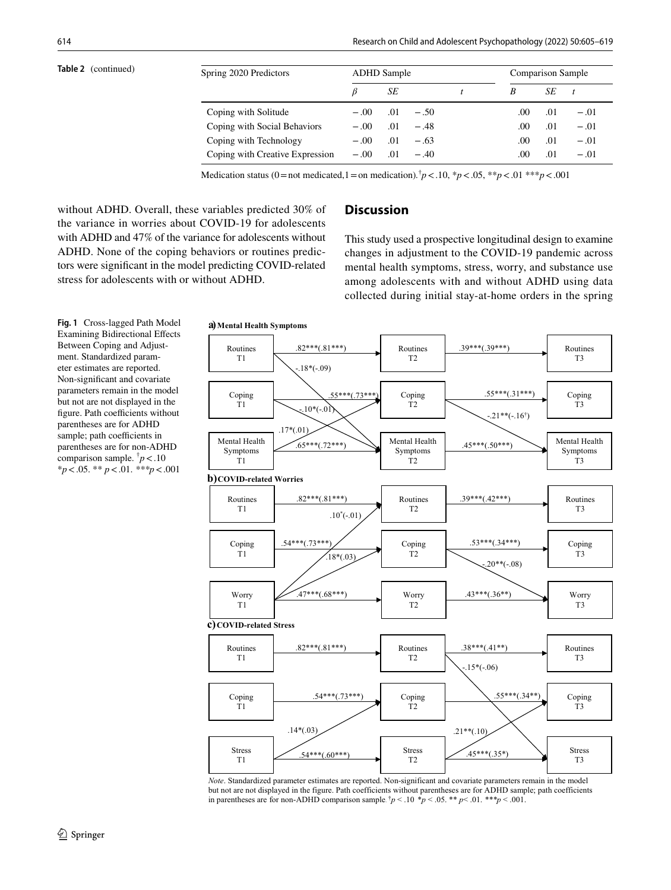| Table 2 (continued) | Spring 2020 Predictors          | <b>ADHD</b> Sample<br><b>Comparison Sample</b> |     |        |  |     |     |        |
|---------------------|---------------------------------|------------------------------------------------|-----|--------|--|-----|-----|--------|
|                     |                                 |                                                | SЕ  |        |  | B   | SE  |        |
|                     | Coping with Solitude            | $-.00$                                         | .01 | $-.50$ |  | .00 | .01 | $-.01$ |
|                     | Coping with Social Behaviors    | $-.00$                                         | .01 | $-.48$ |  | .00 | .01 | $-.01$ |
|                     | Coping with Technology          | $-.00$                                         | .01 | $-.63$ |  | .00 | .01 | $-.01$ |
|                     | Coping with Creative Expression | $-.00$                                         | .01 | $-.40$ |  | .00 | .01 | $-.01$ |

Medication status (0 = not medicated, 1 = on medication).<sup> $\dagger$ </sup> $p$  < .10, \* $p$  < .05, \*\* $p$  < .01 \*\*\* $p$  < .001

without ADHD. Overall, these variables predicted 30% of the variance in worries about COVID-19 for adolescents with ADHD and 47% of the variance for adolescents without ADHD. None of the coping behaviors or routines predictors were signifcant in the model predicting COVID-related stress for adolescents with or without ADHD.

# **Discussion**

This study used a prospective longitudinal design to examine changes in adjustment to the COVID-19 pandemic across mental health symptoms, stress, worry, and substance use among adolescents with and without ADHD using data collected during initial stay-at-home orders in the spring

<span id="page-9-0"></span>**Fig. 1** Cross-lagged Path Model Examining Bidirectional Efects Between Coping and Adjustment. Standardized parameter estimates are reported. Non-signifcant and covariate parameters remain in the model but not are not displayed in the figure. Path coefficients without parentheses are for ADHD sample; path coefficients in parentheses are for non-ADHD comparison sample. † *p*<.10 \**p*<.05. \*\* *p*<.01. *\*\*\*p*<.001



*Note*. Standardized parameter estimates are reported. Non-significant and covariate parameters remain in the model but not are not displayed in the figure. Path coefficients without parentheses are for ADHD sample; path coefficients in parentheses are for non-ADHD comparison sample.  $\frac{1}{p}$  < .10  $\frac{1}{p}$  < .05.  $\frac{1}{p}$  × .01.  $\frac{1}{p}$  × .001.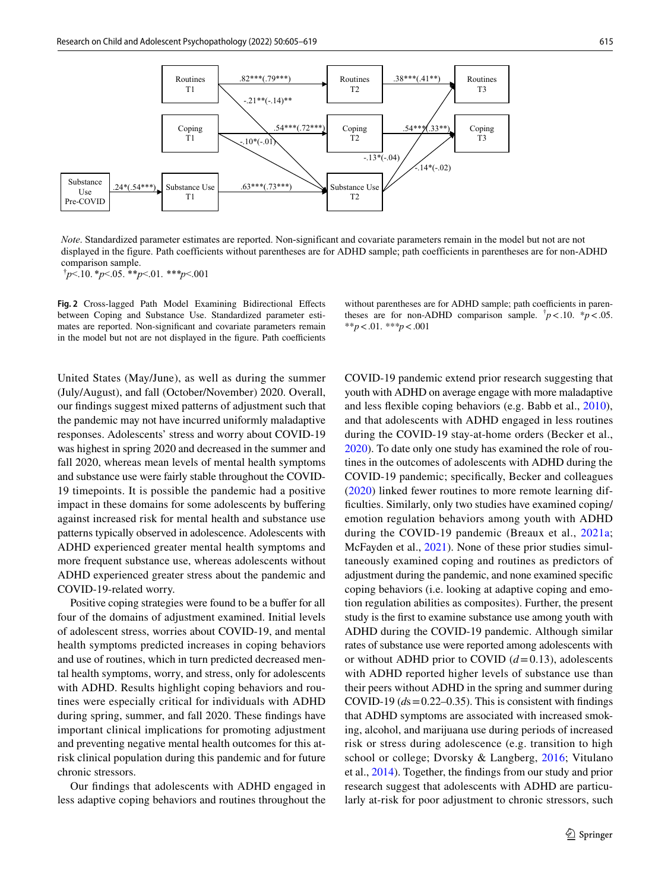

*Note*. Standardized parameter estimates are reported. Non-significant and covariate parameters remain in the model but not are not displayed in the figure. Path coefficients without parentheses are for ADHD sample; path coefficients in parentheses are for non-ADHD comparison sample.

† *p*<.10. \**p*<.05. \*\**p*<.01. *\*\*\*p*<.001

<span id="page-10-0"></span>**Fig. 2** Cross-lagged Path Model Examining Bidirectional Efects between Coping and Substance Use. Standardized parameter estimates are reported. Non-signifcant and covariate parameters remain in the model but not are not displayed in the figure. Path coefficients

United States (May/June), as well as during the summer (July/August), and fall (October/November) 2020. Overall, our fndings suggest mixed patterns of adjustment such that the pandemic may not have incurred uniformly maladaptive responses. Adolescents' stress and worry about COVID-19 was highest in spring 2020 and decreased in the summer and fall 2020, whereas mean levels of mental health symptoms and substance use were fairly stable throughout the COVID-19 timepoints. It is possible the pandemic had a positive impact in these domains for some adolescents by bufering against increased risk for mental health and substance use patterns typically observed in adolescence. Adolescents with ADHD experienced greater mental health symptoms and more frequent substance use, whereas adolescents without ADHD experienced greater stress about the pandemic and COVID-19-related worry.

Positive coping strategies were found to be a buffer for all four of the domains of adjustment examined. Initial levels of adolescent stress, worries about COVID-19, and mental health symptoms predicted increases in coping behaviors and use of routines, which in turn predicted decreased mental health symptoms, worry, and stress, only for adolescents with ADHD. Results highlight coping behaviors and routines were especially critical for individuals with ADHD during spring, summer, and fall 2020. These fndings have important clinical implications for promoting adjustment and preventing negative mental health outcomes for this atrisk clinical population during this pandemic and for future chronic stressors.

Our fndings that adolescents with ADHD engaged in less adaptive coping behaviors and routines throughout the without parentheses are for ADHD sample; path coefficients in parentheses are for non-ADHD comparison sample.  $\frac{1}{p}$  < .10.  $\frac{k}{p}$  < .05. \*\**p*<.01. *\*\*\*p*<.001

COVID-19 pandemic extend prior research suggesting that youth with ADHD on average engage with more maladaptive and less fexible coping behaviors (e.g. Babb et al., [2010](#page-13-17)), and that adolescents with ADHD engaged in less routines during the COVID-19 stay-at-home orders (Becker et al., [2020](#page-13-2)). To date only one study has examined the role of routines in the outcomes of adolescents with ADHD during the COVID-19 pandemic; specifcally, Becker and colleagues ([2020](#page-13-2)) linked fewer routines to more remote learning diffculties. Similarly, only two studies have examined coping/ emotion regulation behaviors among youth with ADHD during the COVID-19 pandemic (Breaux et al., [2021a](#page-13-0); McFayden et al., [2021](#page-14-12)). None of these prior studies simultaneously examined coping and routines as predictors of adjustment during the pandemic, and none examined specifc coping behaviors (i.e. looking at adaptive coping and emotion regulation abilities as composites). Further, the present study is the frst to examine substance use among youth with ADHD during the COVID-19 pandemic. Although similar rates of substance use were reported among adolescents with or without ADHD prior to COVID  $(d=0.13)$ , adolescents with ADHD reported higher levels of substance use than their peers without ADHD in the spring and summer during COVID-19  $(d_s = 0.22 - 0.35)$ . This is consistent with findings that ADHD symptoms are associated with increased smoking, alcohol, and marijuana use during periods of increased risk or stress during adolescence (e.g. transition to high school or college; Dvorsky & Langberg, [2016;](#page-13-10) Vitulano et al., [2014\)](#page-14-20). Together, the fndings from our study and prior research suggest that adolescents with ADHD are particularly at-risk for poor adjustment to chronic stressors, such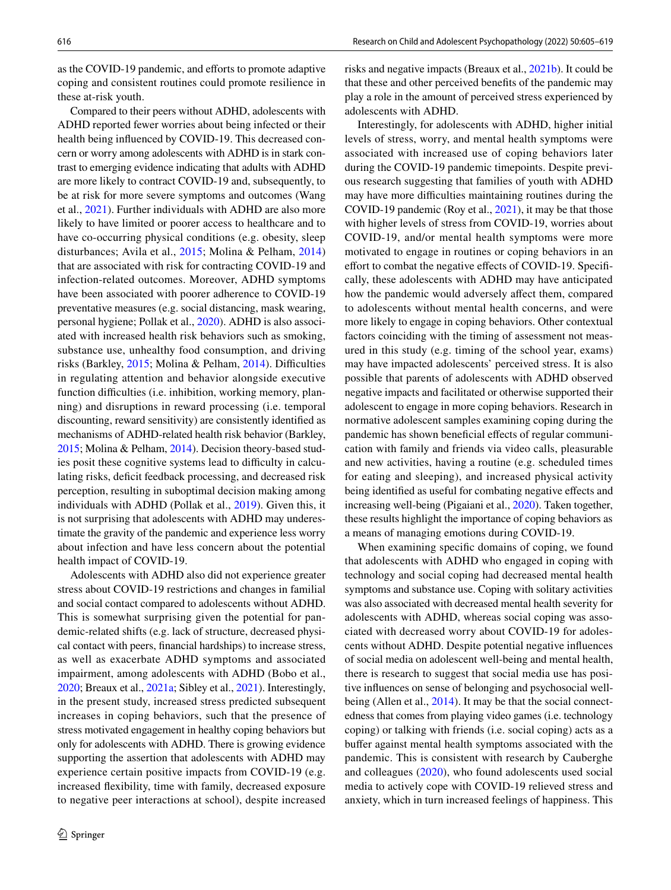as the COVID-19 pandemic, and efforts to promote adaptive coping and consistent routines could promote resilience in these at-risk youth.

Compared to their peers without ADHD, adolescents with ADHD reported fewer worries about being infected or their health being infuenced by COVID-19. This decreased concern or worry among adolescents with ADHD is in stark contrast to emerging evidence indicating that adults with ADHD are more likely to contract COVID-19 and, subsequently, to be at risk for more severe symptoms and outcomes (Wang et al., [2021](#page-14-21)). Further individuals with ADHD are also more likely to have limited or poorer access to healthcare and to have co-occurring physical conditions (e.g. obesity, sleep disturbances; Avila et al., [2015;](#page-13-18) Molina & Pelham, [2014\)](#page-14-22) that are associated with risk for contracting COVID-19 and infection-related outcomes. Moreover, ADHD symptoms have been associated with poorer adherence to COVID-19 preventative measures (e.g. social distancing, mask wearing, personal hygiene; Pollak et al., [2020\)](#page-14-23). ADHD is also associated with increased health risk behaviors such as smoking, substance use, unhealthy food consumption, and driving risks (Barkley,  $2015$ ; Molina & Pelham,  $2014$ ). Difficulties in regulating attention and behavior alongside executive function difficulties (i.e. inhibition, working memory, planning) and disruptions in reward processing (i.e. temporal discounting, reward sensitivity) are consistently identifed as mechanisms of ADHD-related health risk behavior (Barkley, [2015;](#page-13-3) Molina & Pelham, [2014\)](#page-14-22). Decision theory-based studies posit these cognitive systems lead to difficulty in calculating risks, deficit feedback processing, and decreased risk perception, resulting in suboptimal decision making among individuals with ADHD (Pollak et al., [2019\)](#page-14-24). Given this, it is not surprising that adolescents with ADHD may underestimate the gravity of the pandemic and experience less worry about infection and have less concern about the potential health impact of COVID-19.

Adolescents with ADHD also did not experience greater stress about COVID-19 restrictions and changes in familial and social contact compared to adolescents without ADHD. This is somewhat surprising given the potential for pandemic-related shifts (e.g. lack of structure, decreased physical contact with peers, fnancial hardships) to increase stress, as well as exacerbate ADHD symptoms and associated impairment, among adolescents with ADHD (Bobo et al., [2020;](#page-13-4) Breaux et al., [2021a](#page-13-0); Sibley et al., [2021\)](#page-14-7). Interestingly, in the present study, increased stress predicted subsequent increases in coping behaviors, such that the presence of stress motivated engagement in healthy coping behaviors but only for adolescents with ADHD. There is growing evidence supporting the assertion that adolescents with ADHD may experience certain positive impacts from COVID-19 (e.g. increased fexibility, time with family, decreased exposure to negative peer interactions at school), despite increased risks and negative impacts (Breaux et al., [2021b](#page-13-8)). It could be that these and other perceived benefts of the pandemic may play a role in the amount of perceived stress experienced by adolescents with ADHD.

Interestingly, for adolescents with ADHD, higher initial levels of stress, worry, and mental health symptoms were associated with increased use of coping behaviors later during the COVID-19 pandemic timepoints. Despite previous research suggesting that families of youth with ADHD may have more difficulties maintaining routines during the COVID-19 pandemic (Roy et al., [2021](#page-14-2)), it may be that those with higher levels of stress from COVID-19, worries about COVID-19, and/or mental health symptoms were more motivated to engage in routines or coping behaviors in an effort to combat the negative effects of COVID-19. Specifically, these adolescents with ADHD may have anticipated how the pandemic would adversely affect them, compared to adolescents without mental health concerns, and were more likely to engage in coping behaviors. Other contextual factors coinciding with the timing of assessment not measured in this study (e.g. timing of the school year, exams) may have impacted adolescents' perceived stress. It is also possible that parents of adolescents with ADHD observed negative impacts and facilitated or otherwise supported their adolescent to engage in more coping behaviors. Research in normative adolescent samples examining coping during the pandemic has shown beneficial effects of regular communication with family and friends via video calls, pleasurable and new activities, having a routine (e.g. scheduled times for eating and sleeping), and increased physical activity being identifed as useful for combating negative efects and increasing well-being (Pigaiani et al., [2020](#page-14-25)). Taken together, these results highlight the importance of coping behaviors as a means of managing emotions during COVID-19.

When examining specifc domains of coping, we found that adolescents with ADHD who engaged in coping with technology and social coping had decreased mental health symptoms and substance use. Coping with solitary activities was also associated with decreased mental health severity for adolescents with ADHD, whereas social coping was associated with decreased worry about COVID-19 for adolescents without ADHD. Despite potential negative infuences of social media on adolescent well-being and mental health, there is research to suggest that social media use has positive infuences on sense of belonging and psychosocial well-being (Allen et al., [2014](#page-13-19)). It may be that the social connectedness that comes from playing video games (i.e. technology coping) or talking with friends (i.e. social coping) acts as a bufer against mental health symptoms associated with the pandemic. This is consistent with research by Cauberghe and colleagues ([2020](#page-13-20)), who found adolescents used social media to actively cope with COVID-19 relieved stress and anxiety, which in turn increased feelings of happiness. This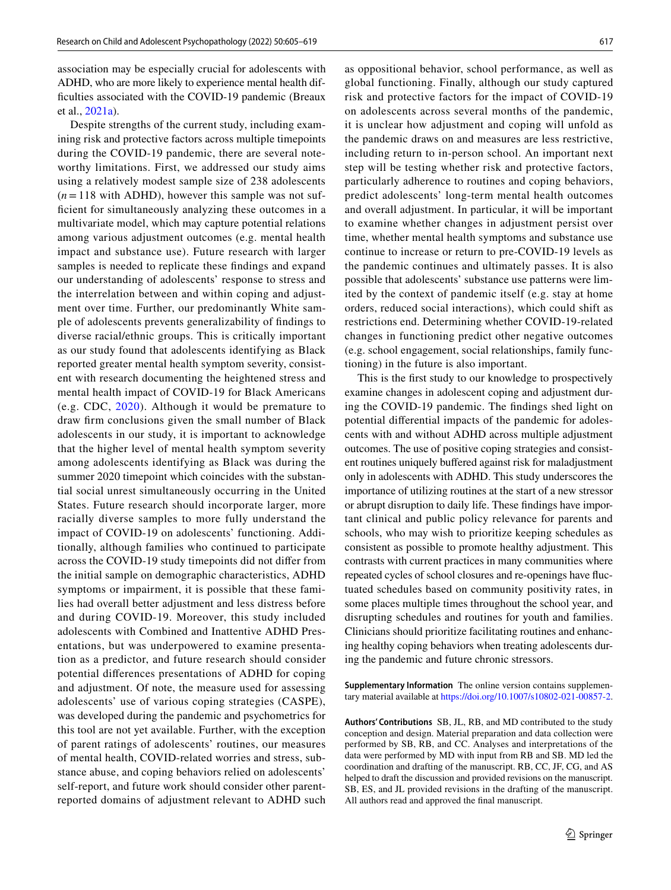association may be especially crucial for adolescents with ADHD, who are more likely to experience mental health difficulties associated with the COVID-19 pandemic (Breaux et al., [2021a](#page-13-0)).

Despite strengths of the current study, including examining risk and protective factors across multiple timepoints during the COVID-19 pandemic, there are several noteworthy limitations. First, we addressed our study aims using a relatively modest sample size of 238 adolescents  $(n=118$  with ADHD), however this sample was not suffcient for simultaneously analyzing these outcomes in a multivariate model, which may capture potential relations among various adjustment outcomes (e.g. mental health impact and substance use). Future research with larger samples is needed to replicate these fndings and expand our understanding of adolescents' response to stress and the interrelation between and within coping and adjustment over time. Further, our predominantly White sample of adolescents prevents generalizability of fndings to diverse racial/ethnic groups. This is critically important as our study found that adolescents identifying as Black reported greater mental health symptom severity, consistent with research documenting the heightened stress and mental health impact of COVID-19 for Black Americans (e.g. CDC, [2020](#page-13-21)). Although it would be premature to draw frm conclusions given the small number of Black adolescents in our study, it is important to acknowledge that the higher level of mental health symptom severity among adolescents identifying as Black was during the summer 2020 timepoint which coincides with the substantial social unrest simultaneously occurring in the United States. Future research should incorporate larger, more racially diverse samples to more fully understand the impact of COVID-19 on adolescents' functioning. Additionally, although families who continued to participate across the COVID-19 study timepoints did not difer from the initial sample on demographic characteristics, ADHD symptoms or impairment, it is possible that these families had overall better adjustment and less distress before and during COVID-19. Moreover, this study included adolescents with Combined and Inattentive ADHD Presentations, but was underpowered to examine presentation as a predictor, and future research should consider potential diferences presentations of ADHD for coping and adjustment. Of note, the measure used for assessing adolescents' use of various coping strategies (CASPE), was developed during the pandemic and psychometrics for this tool are not yet available. Further, with the exception of parent ratings of adolescents' routines, our measures of mental health, COVID-related worries and stress, substance abuse, and coping behaviors relied on adolescents' self-report, and future work should consider other parentreported domains of adjustment relevant to ADHD such as oppositional behavior, school performance, as well as global functioning. Finally, although our study captured risk and protective factors for the impact of COVID-19 on adolescents across several months of the pandemic, it is unclear how adjustment and coping will unfold as the pandemic draws on and measures are less restrictive, including return to in-person school. An important next step will be testing whether risk and protective factors, particularly adherence to routines and coping behaviors, predict adolescents' long-term mental health outcomes and overall adjustment. In particular, it will be important to examine whether changes in adjustment persist over time, whether mental health symptoms and substance use continue to increase or return to pre-COVID-19 levels as the pandemic continues and ultimately passes. It is also possible that adolescents' substance use patterns were limited by the context of pandemic itself (e.g. stay at home orders, reduced social interactions), which could shift as restrictions end. Determining whether COVID-19-related changes in functioning predict other negative outcomes (e.g. school engagement, social relationships, family functioning) in the future is also important.

This is the frst study to our knowledge to prospectively examine changes in adolescent coping and adjustment during the COVID-19 pandemic. The fndings shed light on potential diferential impacts of the pandemic for adolescents with and without ADHD across multiple adjustment outcomes. The use of positive coping strategies and consistent routines uniquely bufered against risk for maladjustment only in adolescents with ADHD. This study underscores the importance of utilizing routines at the start of a new stressor or abrupt disruption to daily life. These fndings have important clinical and public policy relevance for parents and schools, who may wish to prioritize keeping schedules as consistent as possible to promote healthy adjustment. This contrasts with current practices in many communities where repeated cycles of school closures and re-openings have fuctuated schedules based on community positivity rates, in some places multiple times throughout the school year, and disrupting schedules and routines for youth and families. Clinicians should prioritize facilitating routines and enhancing healthy coping behaviors when treating adolescents during the pandemic and future chronic stressors.

**Supplementary Information** The online version contains supplementary material available at<https://doi.org/10.1007/s10802-021-00857-2>.

**Authors' Contributions** SB, JL, RB, and MD contributed to the study conception and design. Material preparation and data collection were performed by SB, RB, and CC. Analyses and interpretations of the data were performed by MD with input from RB and SB. MD led the coordination and drafting of the manuscript. RB, CC, JF, CG, and AS helped to draft the discussion and provided revisions on the manuscript. SB, ES, and JL provided revisions in the drafting of the manuscript. All authors read and approved the fnal manuscript.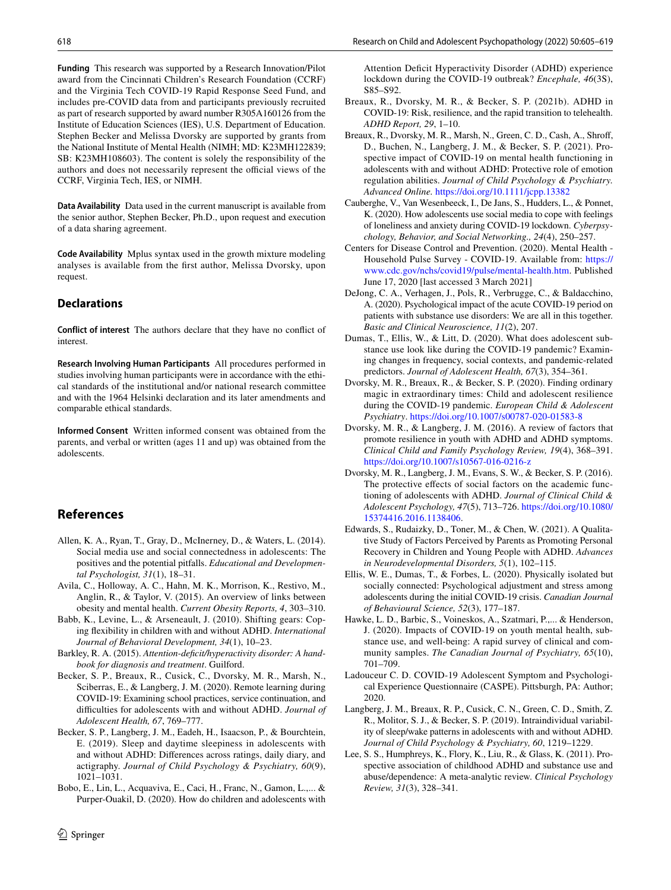**Funding** This research was supported by a Research Innovation/Pilot award from the Cincinnati Children's Research Foundation (CCRF) and the Virginia Tech COVID-19 Rapid Response Seed Fund, and includes pre-COVID data from and participants previously recruited as part of research supported by award number R305A160126 from the Institute of Education Sciences (IES), U.S. Department of Education. Stephen Becker and Melissa Dvorsky are supported by grants from the National Institute of Mental Health (NIMH; MD: K23MH122839; SB: K23MH108603). The content is solely the responsibility of the authors and does not necessarily represent the official views of the CCRF, Virginia Tech, IES, or NIMH.

**Data Availability** Data used in the current manuscript is available from the senior author, Stephen Becker, Ph.D., upon request and execution of a data sharing agreement.

**Code Availability** Mplus syntax used in the growth mixture modeling analyses is available from the frst author, Melissa Dvorsky, upon request.

## **Declarations**

**Conflict of interest** The authors declare that they have no confict of interest.

**Research Involving Human Participants** All procedures performed in studies involving human participants were in accordance with the ethical standards of the institutional and/or national research committee and with the 1964 Helsinki declaration and its later amendments and comparable ethical standards.

**Informed Consent** Written informed consent was obtained from the parents, and verbal or written (ages 11 and up) was obtained from the adolescents.

# **References**

- <span id="page-13-19"></span>Allen, K. A., Ryan, T., Gray, D., McInerney, D., & Waters, L. (2014). Social media use and social connectedness in adolescents: The positives and the potential pitfalls. *Educational and Developmental Psychologist, 31*(1), 18–31.
- <span id="page-13-18"></span>Avila, C., Holloway, A. C., Hahn, M. K., Morrison, K., Restivo, M., Anglin, R., & Taylor, V. (2015). An overview of links between obesity and mental health. *Current Obesity Reports, 4*, 303–310.
- <span id="page-13-17"></span>Babb, K., Levine, L., & Arseneault, J. (2010). Shifting gears: Coping fexibility in children with and without ADHD. *International Journal of Behavioral Development, 34*(1), 10–23.
- <span id="page-13-3"></span>Barkley, R. A. (2015). *Attention-deficit/hyperactivity disorder: A handbook for diagnosis and treatment*. Guilford.
- <span id="page-13-2"></span>Becker, S. P., Breaux, R., Cusick, C., Dvorsky, M. R., Marsh, N., Sciberras, E., & Langberg, J. M. (2020). Remote learning during COVID-19: Examining school practices, service continuation, and difficulties for adolescents with and without ADHD. *Journal of Adolescent Health, 67*, 769–777.
- <span id="page-13-14"></span>Becker, S. P., Langberg, J. M., Eadeh, H., Isaacson, P., & Bourchtein, E. (2019). Sleep and daytime sleepiness in adolescents with and without ADHD: Diferences across ratings, daily diary, and actigraphy. *Journal of Child Psychology & Psychiatry, 60*(9), 1021–1031.
- <span id="page-13-4"></span>Bobo, E., Lin, L., Acquaviva, E., Caci, H., Franc, N., Gamon, L.,... & Purper-Ouakil, D. (2020). How do children and adolescents with

Attention Deficit Hyperactivity Disorder (ADHD) experience lockdown during the COVID-19 outbreak? *Encephale, 46*(3S), S85–S92.

- <span id="page-13-8"></span>Breaux, R., Dvorsky, M. R., & Becker, S. P. (2021b). ADHD in COVID-19: Risk, resilience, and the rapid transition to telehealth. *ADHD Report, 29*, 1–10.
- <span id="page-13-0"></span>Breaux, R., Dvorsky, M. R., Marsh, N., Green, C. D., Cash, A., Shrof, D., Buchen, N., Langberg, J. M., & Becker, S. P. (2021). Prospective impact of COVID-19 on mental health functioning in adolescents with and without ADHD: Protective role of emotion regulation abilities. *Journal of Child Psychology & Psychiatry. Advanced Online.* <https://doi.org/10.1111/jcpp.13382>
- <span id="page-13-20"></span>Cauberghe, V., Van Wesenbeeck, I., De Jans, S., Hudders, L., & Ponnet, K. (2020). How adolescents use social media to cope with feelings of loneliness and anxiety during COVID-19 lockdown. *Cyberpsychology, Behavior, and Social Networking., 24*(4), 250–257.
- <span id="page-13-21"></span>Centers for Disease Control and Prevention. (2020). Mental Health - Household Pulse Survey - COVID-19. Available from: [https://](https://www.cdc.gov/nchs/covid19/pulse/mental-health.htm) [www.cdc.gov/nchs/covid19/pulse/mental-health.htm.](https://www.cdc.gov/nchs/covid19/pulse/mental-health.htm) Published June 17, 2020 [last accessed 3 March 2021]
- <span id="page-13-13"></span>DeJong, C. A., Verhagen, J., Pols, R., Verbrugge, C., & Baldacchino, A. (2020). Psychological impact of the acute COVID-19 period on patients with substance use disorders: We are all in this together. *Basic and Clinical Neuroscience, 11*(2), 207.
- <span id="page-13-5"></span>Dumas, T., Ellis, W., & Litt, D. (2020). What does adolescent substance use look like during the COVID-19 pandemic? Examining changes in frequency, social contexts, and pandemic-related predictors. *Journal of Adolescent Health, 67*(3), 354–361.
- <span id="page-13-9"></span>Dvorsky, M. R., Breaux, R., & Becker, S. P. (2020). Finding ordinary magic in extraordinary times: Child and adolescent resilience during the COVID-19 pandemic. *European Child & Adolescent Psychiatry*.<https://doi.org/10.1007/s00787-020-01583-8>
- <span id="page-13-10"></span>Dvorsky, M. R., & Langberg, J. M. (2016). A review of factors that promote resilience in youth with ADHD and ADHD symptoms. *Clinical Child and Family Psychology Review, 19*(4), 368–391. <https://doi.org/10.1007/s10567-016-0216-z>
- <span id="page-13-11"></span>Dvorsky, M. R., Langberg, J. M., Evans, S. W., & Becker, S. P. (2016). The protective effects of social factors on the academic functioning of adolescents with ADHD. *Journal of Clinical Child & Adolescent Psychology, 47*(5), 713–726. [https://doi.org/10.1080/](https://doi.org/10.1080/15374416.2016.1138406) [15374416.2016.1138406](https://doi.org/10.1080/15374416.2016.1138406).
- <span id="page-13-12"></span>Edwards, S., Rudaizky, D., Toner, M., & Chen, W. (2021). A Qualitative Study of Factors Perceived by Parents as Promoting Personal Recovery in Children and Young People with ADHD. *Advances in Neurodevelopmental Disorders, 5*(1), 102–115.
- <span id="page-13-1"></span>Ellis, W. E., Dumas, T., & Forbes, L. (2020). Physically isolated but socially connected: Psychological adjustment and stress among adolescents during the initial COVID-19 crisis. *Canadian Journal of Behavioural Science, 52*(3), 177–187.
- <span id="page-13-6"></span>Hawke, L. D., Barbic, S., Voineskos, A., Szatmari, P.,... & Henderson, J. (2020). Impacts of COVID-19 on youth mental health, substance use, and well-being: A rapid survey of clinical and community samples. *The Canadian Journal of Psychiatry, 65*(10), 701–709.
- <span id="page-13-16"></span>Ladouceur C. D. COVID-19 Adolescent Symptom and Psychological Experience Questionnaire (CASPE). Pittsburgh, PA: Author; 2020.
- <span id="page-13-15"></span>Langberg, J. M., Breaux, R. P., Cusick, C. N., Green, C. D., Smith, Z. R., Molitor, S. J., & Becker, S. P. (2019). Intraindividual variability of sleep/wake patterns in adolescents with and without ADHD. *Journal of Child Psychology & Psychiatry, 60*, 1219–1229.
- <span id="page-13-7"></span>Lee, S. S., Humphreys, K., Flory, K., Liu, R., & Glass, K. (2011). Prospective association of childhood ADHD and substance use and abuse/dependence: A meta-analytic review. *Clinical Psychology Review, 31*(3), 328–341.